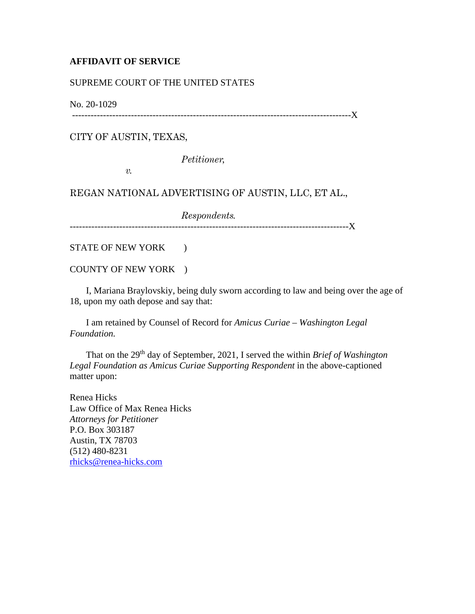## **AFFIDAVIT OF SERVICE**

## SUPREME COURT OF THE UNITED STATES

No. 20-1029

------------------------------------------------------------------------------------------X

CITY OF AUSTIN, TEXAS,

*Petitioner,*

*v.*

REGAN NATIONAL ADVERTISING OF AUSTIN, LLC, ET AL.,

*Respondents.*

------------------------------------------------------------------------------------------X

STATE OF NEW YORK  $\qquad$  )

COUNTY OF NEW YORK )

 I, Mariana Braylovskiy, being duly sworn according to law and being over the age of 18, upon my oath depose and say that:

 I am retained by Counsel of Record for *Amicus Curiae – Washington Legal Foundation.*

 That on the 29th day of September, 2021, I served the within *Brief of Washington Legal Foundation as Amicus Curiae Supporting Respondent* in the above-captioned matter upon:

Renea Hicks Law Office of Max Renea Hicks *Attorneys for Petitioner* P.O. Box 303187 Austin, TX 78703 (512) 480-8231 [rhicks@renea-hicks.com](mailto:rhicks@renea-hicks.com)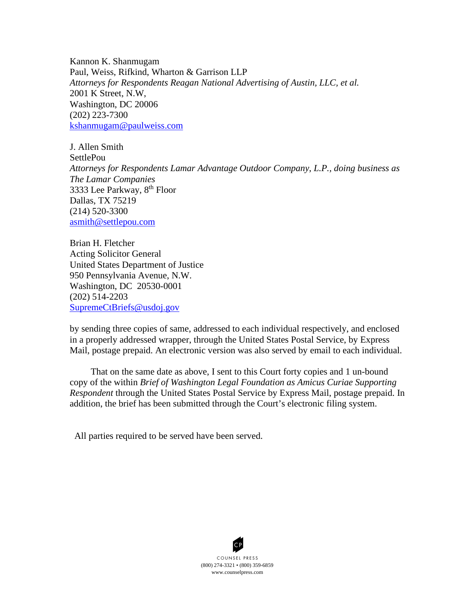Kannon K. Shanmugam Paul, Weiss, Rifkind, Wharton & Garrison LLP *Attorneys for Respondents Reagan National Advertising of Austin, LLC, et al.* 2001 K Street, N.W, Washington, DC 20006 (202) 223-7300 [kshanmugam@paulweiss.com](mailto:kshanmugam@paulweiss.com)

J. Allen Smith **SettlePou** *Attorneys for Respondents Lamar Advantage Outdoor Company, L.P., doing business as The Lamar Companies* 3333 Lee Parkway, 8th Floor Dallas, TX 75219 (214) 520-3300 [asmith@settlepou.com](mailto:asmith@settlepou.com)

Brian H. Fletcher Acting Solicitor General United States Department of Justice 950 Pennsylvania Avenue, N.W. Washington, DC 20530-0001 (202) 514-2203 [SupremeCtBriefs@usdoj.gov](mailto:SupremeCtBriefs@usdoj.gov)

by sending three copies of same, addressed to each individual respectively, and enclosed in a properly addressed wrapper, through the United States Postal Service, by Express Mail, postage prepaid. An electronic version was also served by email to each individual.

 That on the same date as above, I sent to this Court forty copies and 1 un-bound copy of the within *Brief of Washington Legal Foundation as Amicus Curiae Supporting Respondent* through the United States Postal Service by Express Mail, postage prepaid. In addition, the brief has been submitted through the Court's electronic filing system.

All parties required to be served have been served.

(800) 274 -3321 • (800) 359-6859 COUNSEL PRESS www.counselpress.com